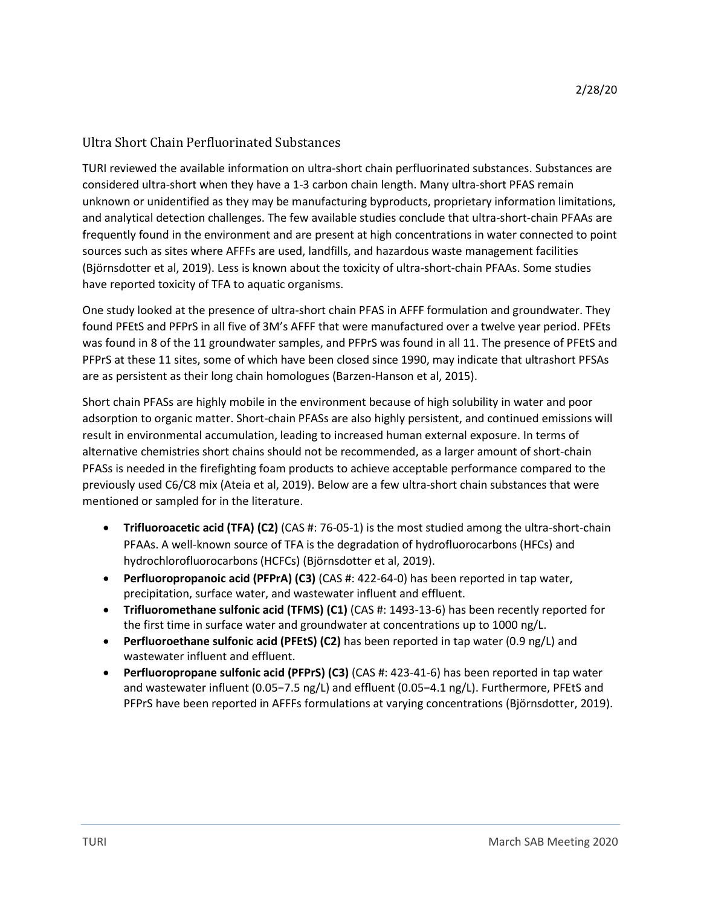## Ultra Short Chain Perfluorinated Substances

TURI reviewed the available information on ultra-short chain perfluorinated substances. Substances are considered ultra-short when they have a 1-3 carbon chain length. Many ultra-short PFAS remain unknown or unidentified as they may be manufacturing byproducts, proprietary information limitations, and analytical detection challenges. The few available studies conclude that ultra-short-chain PFAAs are frequently found in the environment and are present at high concentrations in water connected to point sources such as sites where AFFFs are used, landfills, and hazardous waste management facilities (Björnsdotter et al, 2019). Less is known about the toxicity of ultra-short-chain PFAAs. Some studies have reported toxicity of TFA to aquatic organisms.

One study looked at the presence of ultra-short chain PFAS in AFFF formulation and groundwater. They found PFEtS and PFPrS in all five of 3M's AFFF that were manufactured over a twelve year period. PFEts was found in 8 of the 11 groundwater samples, and PFPrS was found in all 11. The presence of PFEtS and PFPrS at these 11 sites, some of which have been closed since 1990, may indicate that ultrashort PFSAs are as persistent as their long chain homologues (Barzen-Hanson et al, 2015).

Short chain PFASs are highly mobile in the environment because of high solubility in water and poor adsorption to organic matter. Short-chain PFASs are also highly persistent, and continued emissions will result in environmental accumulation, leading to increased human external exposure. In terms of alternative chemistries short chains should not be recommended, as a larger amount of short-chain PFASs is needed in the firefighting foam products to achieve acceptable performance compared to the previously used C6/C8 mix (Ateia et al, 2019). Below are a few ultra-short chain substances that were mentioned or sampled for in the literature.

- **Trifluoroacetic acid (TFA) (C2)** (CAS #: 76-05-1) is the most studied among the ultra-short-chain PFAAs. A well-known source of TFA is the degradation of hydrofluorocarbons (HFCs) and hydrochlorofluorocarbons (HCFCs) (Björnsdotter et al, 2019).
- **Perfluoropropanoic acid (PFPrA) (C3)** (CAS #: 422-64-0) has been reported in tap water, precipitation, surface water, and wastewater influent and effluent.
- **Trifluoromethane sulfonic acid (TFMS) (C1)** (CAS #: 1493-13-6) has been recently reported for the first time in surface water and groundwater at concentrations up to 1000 ng/L.
- **Perfluoroethane sulfonic acid (PFEtS) (C2)** has been reported in tap water (0.9 ng/L) and wastewater influent and effluent.
- **Perfluoropropane sulfonic acid (PFPrS) (C3)** (CAS #: 423-41-6) has been reported in tap water and wastewater influent (0.05−7.5 ng/L) and effluent (0.05−4.1 ng/L). Furthermore, PFEtS and PFPrS have been reported in AFFFs formulations at varying concentrations (Björnsdotter, 2019).